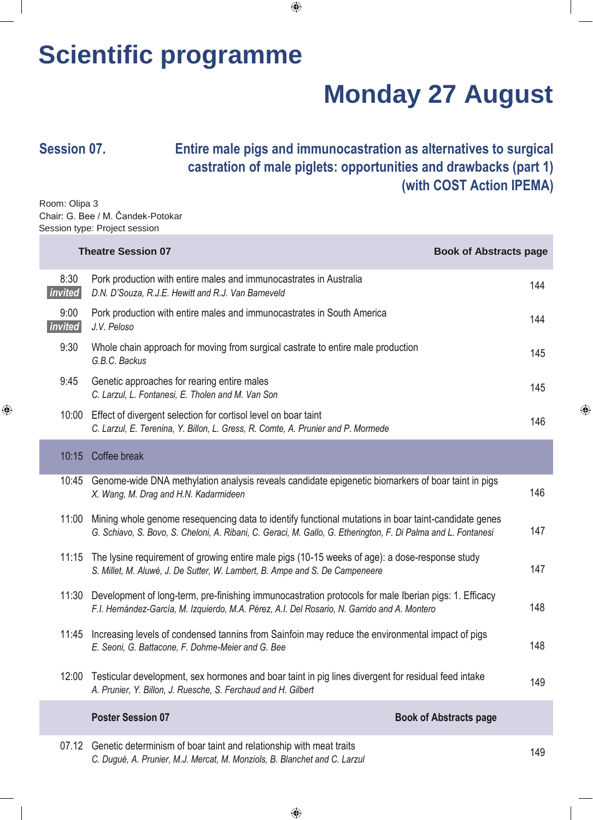## **Scientific programme**

# **Monday 27 August**

⊕

◈

### **Session 07. Entire male pigs and immunocastration as alternatives to surgical castration of male piglets: opportunities and drawbacks (part 1) (with COST Action IPEMA)**

Room: Olipa 3 Chair: G. Bee / M. Čandek-Potokar Session type: Project session

| <b>Theatre Session 07</b> |                                                                                                                                                                                                                       | <b>Book of Abstracts page</b> |
|---------------------------|-----------------------------------------------------------------------------------------------------------------------------------------------------------------------------------------------------------------------|-------------------------------|
| 8:30<br>invited           | Pork production with entire males and immunocastrates in Australia<br>D.N. D'Souza, R.J.E. Hewitt and R.J. Van Barneveld                                                                                              | 144                           |
| 9:00<br>invited           | Pork production with entire males and immunocastrates in South America<br>J.V. Peloso                                                                                                                                 | 144                           |
| 9:30                      | Whole chain approach for moving from surgical castrate to entire male production<br>G.B.C. Backus                                                                                                                     | 145                           |
| 9:45                      | Genetic approaches for rearing entire males<br>C. Larzul, L. Fontanesi, E. Tholen and M. Van Son                                                                                                                      | 145                           |
| 10:00                     | Effect of divergent selection for cortisol level on boar taint<br>C. Larzul, E. Terenina, Y. Billon, L. Gress, R. Comte, A. Prunier and P. Mormede                                                                    | 146                           |
| 10:15                     | Coffee break                                                                                                                                                                                                          |                               |
| 10:45                     | Genome-wide DNA methylation analysis reveals candidate epigenetic biomarkers of boar taint in pigs<br>X. Wang, M. Drag and H.N. Kadarmideen                                                                           | 146                           |
| 11:00                     | Mining whole genome resequencing data to identify functional mutations in boar taint-candidate genes<br>G. Schiavo, S. Bovo, S. Cheloni, A. Ribani, C. Geraci, M. Gallo, G. Etherington, F. Di Palma and L. Fontanesi | 147                           |
| 11:15                     | The lysine requirement of growing entire male pigs (10-15 weeks of age): a dose-response study<br>S. Millet, M. Aluwé, J. De Sutter, W. Lambert, B. Ampe and S. De Campeneere                                         | 147                           |
| 11:30                     | Development of long-term, pre-finishing immunocastration protocols for male Iberian pigs: 1. Efficacy<br>F.I. Hernández-García, M. Izquierdo, M.A. Pérez, A.I. Del Rosario, N. Garrido and A. Montero                 | 148                           |
| 11:45                     | Increasing levels of condensed tannins from Sainfoin may reduce the environmental impact of pigs<br>E. Seoni, G. Battacone, F. Dohme-Meier and G. Bee                                                                 | 148                           |
| 12:00                     | Testicular development, sex hormones and boar taint in pig lines divergent for residual feed intake<br>A. Prunier, Y. Billon, J. Ruesche, S. Ferchaud and H. Gilbert                                                  | 149                           |
|                           | <b>Poster Session 07</b>                                                                                                                                                                                              | <b>Book of Abstracts page</b> |
| 07.12                     | Genetic determinism of boar taint and relationship with meat traits<br>C. Dugué, A. Prunier, M.J. Mercat, M. Monziols, B. Blanchet and C. Larzul                                                                      | 149                           |

 $\bigoplus$ 

 $\bigoplus$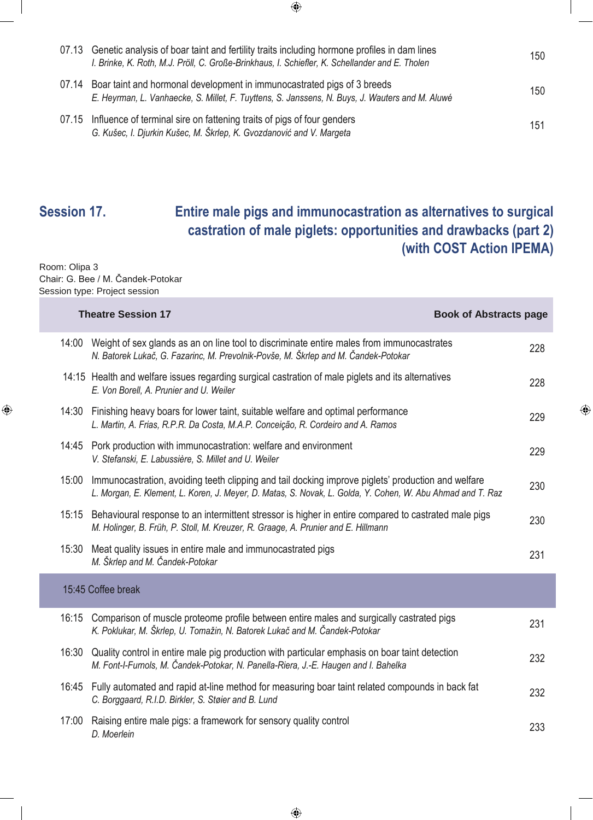| 07.13 | Genetic analysis of boar taint and fertility traits including hormone profiles in dam lines<br>I. Brinke, K. Roth, M.J. Pröll, C. Große-Brinkhaus, I. Schiefler, K. Schellander and E. Tholen | 150 |
|-------|-----------------------------------------------------------------------------------------------------------------------------------------------------------------------------------------------|-----|
| 07.14 | Boar taint and hormonal development in immunocastrated pigs of 3 breeds<br>E. Heyrman, L. Vanhaecke, S. Millet, F. Tuyttens, S. Janssens, N. Buys, J. Wauters and M. Aluwé                    | 150 |
|       | 07.15 Influence of terminal sire on fattening traits of pigs of four genders<br>G. Kušec, I. Djurkin Kušec, M. Škrlep, K. Gvozdanović and V. Margeta                                          | 151 |

 $\bigoplus$ 

### **Session 17. Entire male pigs and immunocastration as alternatives to surgical castration of male piglets: opportunities and drawbacks (part 2) (with COST Action IPEMA)**

Room: Olipa 3 Chair: G. Bee / M. Čandek-Potokar Session type: Project session

 $\bigoplus$ 

|       | <b>Theatre Session 17</b>                                                                                                                                                                                        | <b>Book of Abstracts page</b> |
|-------|------------------------------------------------------------------------------------------------------------------------------------------------------------------------------------------------------------------|-------------------------------|
| 14:00 | Weight of sex glands as an on line tool to discriminate entire males from immunocastrates<br>N. Batorek Lukač, G. Fazarinc, M. Prevolnik-Povše, M. Škrlep and M. Čandek-Potokar                                  | 228                           |
|       | 14:15 Health and welfare issues regarding surgical castration of male piglets and its alternatives<br>E. Von Borell, A. Prunier and U. Weiler                                                                    | 228                           |
| 14:30 | Finishing heavy boars for lower taint, suitable welfare and optimal performance<br>L. Martin, A. Frias, R.P.R. Da Costa, M.A.P. Conceição, R. Cordeiro and A. Ramos                                              | 229                           |
|       | 14:45 Pork production with immunocastration: welfare and environment<br>V. Stefanski, E. Labussière, S. Millet and U. Weiler                                                                                     | 229                           |
| 15:00 | Immunocastration, avoiding teeth clipping and tail docking improve piglets' production and welfare<br>L. Morgan, E. Klement, L. Koren, J. Meyer, D. Matas, S. Novak, L. Golda, Y. Cohen, W. Abu Ahmad and T. Raz | 230                           |
| 15:15 | Behavioural response to an intermittent stressor is higher in entire compared to castrated male pigs<br>M. Holinger, B. Früh, P. Stoll, M. Kreuzer, R. Graage, A. Prunier and E. Hillmann                        | 230                           |
| 15:30 | Meat quality issues in entire male and immunocastrated pigs<br>M. Škrlep and M. Čandek-Potokar                                                                                                                   | 231                           |
|       | 15:45 Coffee break                                                                                                                                                                                               |                               |
| 16:15 | Comparison of muscle proteome profile between entire males and surgically castrated pigs<br>K. Poklukar, M. Škrlep, U. Tomažin, N. Batorek Lukač and M. Čandek-Potokar                                           | 231                           |
| 16:30 | Quality control in entire male pig production with particular emphasis on boar taint detection<br>M. Font-I-Furnols, M. Čandek-Potokar, N. Panella-Riera, J.-E. Haugen and I. Bahelka                            | 232                           |
| 16:45 | Fully automated and rapid at-line method for measuring boar taint related compounds in back fat<br>C. Borggaard, R.I.D. Birkler, S. Støier and B. Lund                                                           | 232                           |
| 17:00 | Raising entire male pigs: a framework for sensory quality control<br>D. Moerlein                                                                                                                                 | 233                           |

◈

 $\bigoplus$